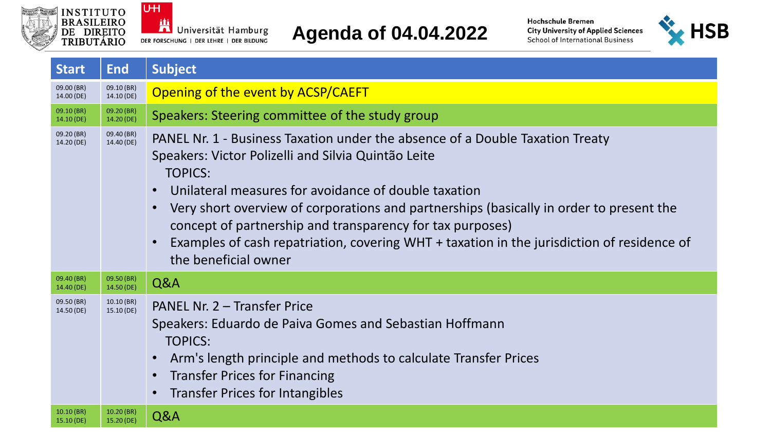



## **Agenda of 04.04.2022**



| <b>Start</b>                 | <b>End</b>                   | <b>Subject</b>                                                                                                                                                                                                                                                                                                                                                                                                                                                                               |
|------------------------------|------------------------------|----------------------------------------------------------------------------------------------------------------------------------------------------------------------------------------------------------------------------------------------------------------------------------------------------------------------------------------------------------------------------------------------------------------------------------------------------------------------------------------------|
| 09.00 (BR)<br>14.00 (DE)     | 09.10 (BR)<br>14.10 (DE)     | Opening of the event by ACSP/CAEFT                                                                                                                                                                                                                                                                                                                                                                                                                                                           |
| 09.10 (BR)<br>14.10(DE)      | 09.20 (BR)<br>14.20 (DE)     | Speakers: Steering committee of the study group                                                                                                                                                                                                                                                                                                                                                                                                                                              |
| 09.20 (BR)<br>14.20 (DE)     | 09.40 (BR)<br>14.40 (DE)     | PANEL Nr. 1 - Business Taxation under the absence of a Double Taxation Treaty<br>Speakers: Victor Polizelli and Silvia Quintão Leite<br><b>TOPICS:</b><br>Unilateral measures for avoidance of double taxation<br>Very short overview of corporations and partnerships (basically in order to present the<br>concept of partnership and transparency for tax purposes)<br>Examples of cash repatriation, covering WHT + taxation in the jurisdiction of residence of<br>the beneficial owner |
| 09.40 (BR)<br>14.40 (DE)     | 09.50 (BR)<br>14.50 (DE)     | Q&A                                                                                                                                                                                                                                                                                                                                                                                                                                                                                          |
| 09.50 (BR)<br>14.50 (DE)     | $10.10$ (BR)<br>15.10 (DE)   | PANEL Nr. 2 - Transfer Price<br>Speakers: Eduardo de Paiva Gomes and Sebastian Hoffmann<br><b>TOPICS:</b><br>Arm's length principle and methods to calculate Transfer Prices<br><b>Transfer Prices for Financing</b><br><b>Transfer Prices for Intangibles</b>                                                                                                                                                                                                                               |
| $10.10$ (BR)<br>$15.10$ (DE) | $10.20$ (BR)<br>$15.20$ (DE) | Q&A                                                                                                                                                                                                                                                                                                                                                                                                                                                                                          |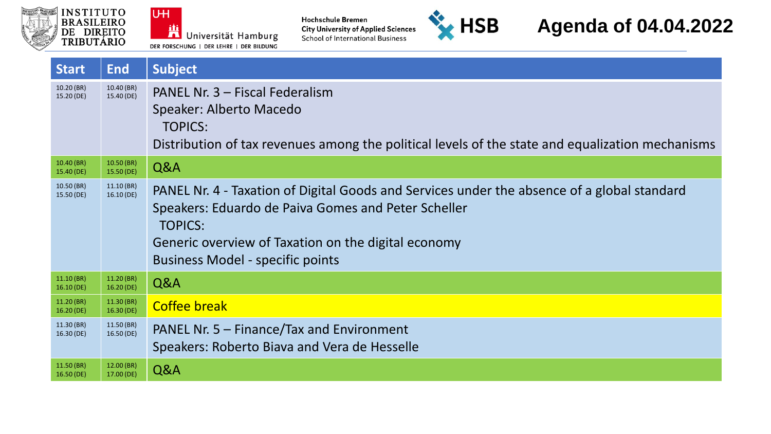



Hochschule Bremen<br>City University of Applied Sciences<br>School of International Business



## **Agenda of 04.04.2022**

| <b>Start</b>               | <b>End</b>                   | <b>Subject</b>                                                                                                                                                                                                                                                         |
|----------------------------|------------------------------|------------------------------------------------------------------------------------------------------------------------------------------------------------------------------------------------------------------------------------------------------------------------|
| 10.20 (BR)<br>15.20 (DE)   | 10.40 (BR)<br>15.40 (DE)     | PANEL Nr. 3 - Fiscal Federalism<br>Speaker: Alberto Macedo<br><b>TOPICS:</b><br>Distribution of tax revenues among the political levels of the state and equalization mechanisms                                                                                       |
| $10.40$ (BR)<br>15.40 (DE) | $10.50$ (BR)<br>$15.50$ (DE) | Q&A                                                                                                                                                                                                                                                                    |
| $10.50$ (BR)<br>15.50 (DE) | 11.10(BR)<br>16.10(DE)       | PANEL Nr. 4 - Taxation of Digital Goods and Services under the absence of a global standard<br>Speakers: Eduardo de Paiva Gomes and Peter Scheller<br><b>TOPICS:</b><br>Generic overview of Taxation on the digital economy<br><b>Business Model - specific points</b> |
| 11.10(BR)<br>16.10 (DE)    | 11.20 (BR)<br>16.20 (DE)     | Q&A                                                                                                                                                                                                                                                                    |
| 11.20(BR)<br>16.20 (DE)    | 11.30(BR)<br>16.30(DE)       | <b>Coffee break</b>                                                                                                                                                                                                                                                    |
| 11.30 (BR)<br>16.30 (DE)   | 11.50(BR)<br>16.50 (DE)      | PANEL Nr. $5 -$ Finance/Tax and Environment<br>Speakers: Roberto Biava and Vera de Hesselle                                                                                                                                                                            |
| 11.50 (BR)<br>16.50 (DE)   | 12.00(BR)<br>17.00 (DE)      | Q&A                                                                                                                                                                                                                                                                    |